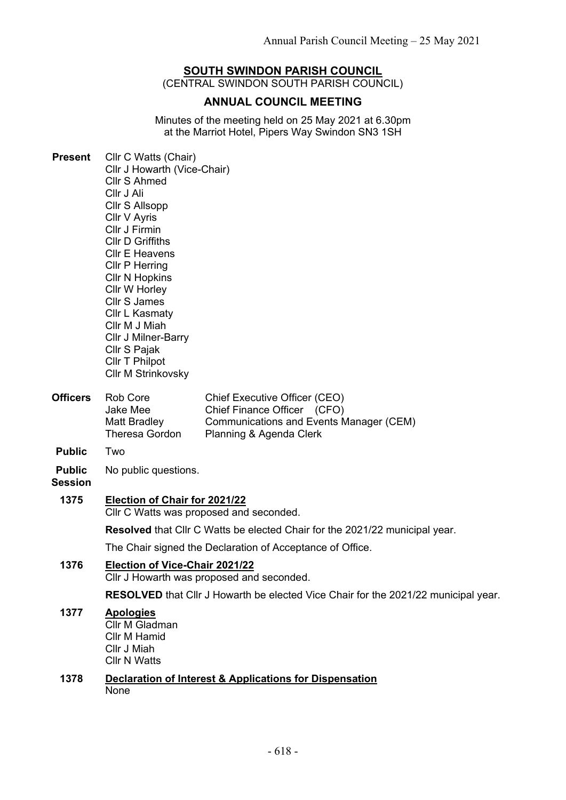# **SOUTH SWINDON PARISH COUNCIL**

(CENTRAL SWINDON SOUTH PARISH COUNCIL)

## **ANNUAL COUNCIL MEETING**

Minutes of the meeting held on 25 May 2021 at 6.30pm at the Marriot Hotel, Pipers Way Swindon SN3 1SH

| <b>Present</b>                  | Cllr C Watts (Chair)<br>Cllr J Howarth (Vice-Chair)<br><b>Cllr S Ahmed</b><br>Cllr J Ali<br>Cllr S Allsopp<br>Cllr V Ayris<br>Cllr J Firmin<br><b>CIIr D Griffiths</b><br><b>CIIr E Heavens</b><br><b>CIIr P Herring</b><br><b>CIIr N Hopkins</b><br>Cllr W Horley<br><b>Cllr S James</b><br>Cllr L Kasmaty<br>Cllr M J Miah<br><b>CIIr J Milner-Barry</b><br>Cllr S Pajak<br>Cllr T Philpot<br><b>Cllr M Strinkovsky</b> |                                                                                                                                           |  |
|---------------------------------|---------------------------------------------------------------------------------------------------------------------------------------------------------------------------------------------------------------------------------------------------------------------------------------------------------------------------------------------------------------------------------------------------------------------------|-------------------------------------------------------------------------------------------------------------------------------------------|--|
| <b>Officers</b>                 | Rob Core<br>Jake Mee<br>Matt Bradley<br><b>Theresa Gordon</b>                                                                                                                                                                                                                                                                                                                                                             | Chief Executive Officer (CEO)<br>Chief Finance Officer (CFO)<br><b>Communications and Events Manager (CEM)</b><br>Planning & Agenda Clerk |  |
| <b>Public</b>                   | Two                                                                                                                                                                                                                                                                                                                                                                                                                       |                                                                                                                                           |  |
| <b>Public</b><br><b>Session</b> | No public questions.                                                                                                                                                                                                                                                                                                                                                                                                      |                                                                                                                                           |  |
| 1375                            | Election of Chair for 2021/22<br>Cllr C Watts was proposed and seconded.                                                                                                                                                                                                                                                                                                                                                  |                                                                                                                                           |  |
|                                 | Resolved that Cllr C Watts be elected Chair for the 2021/22 municipal year.                                                                                                                                                                                                                                                                                                                                               |                                                                                                                                           |  |
|                                 | The Chair signed the Declaration of Acceptance of Office.                                                                                                                                                                                                                                                                                                                                                                 |                                                                                                                                           |  |
| 1376                            |                                                                                                                                                                                                                                                                                                                                                                                                                           | Election of Vice-Chair 2021/22<br>Cllr J Howarth was proposed and seconded.                                                               |  |
|                                 | <b>RESOLVED</b> that Cllr J Howarth be elected Vice Chair for the 2021/22 municipal year.                                                                                                                                                                                                                                                                                                                                 |                                                                                                                                           |  |
| 1377                            | <b>Apologies</b><br>Cllr M Gladman<br>Cllr M Hamid<br>Cllr J Miah<br><b>CIIr N Watts</b>                                                                                                                                                                                                                                                                                                                                  |                                                                                                                                           |  |
| 1378                            | <b>Declaration of Interest &amp; Applications for Dispensation</b><br>None                                                                                                                                                                                                                                                                                                                                                |                                                                                                                                           |  |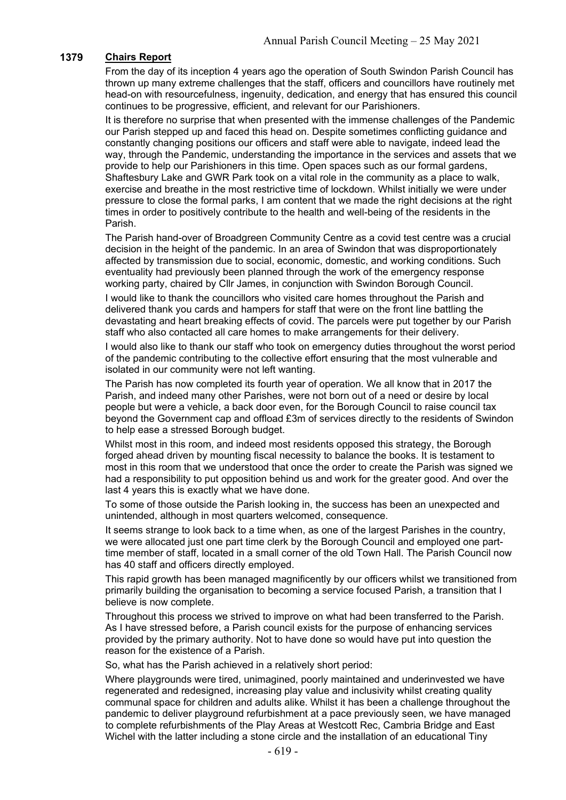## **1379 Chairs Report**

From the day of its inception 4 years ago the operation of South Swindon Parish Council has thrown up many extreme challenges that the staff, officers and councillors have routinely met head-on with resourcefulness, ingenuity, dedication, and energy that has ensured this council continues to be progressive, efficient, and relevant for our Parishioners.

It is therefore no surprise that when presented with the immense challenges of the Pandemic our Parish stepped up and faced this head on. Despite sometimes conflicting guidance and constantly changing positions our officers and staff were able to navigate, indeed lead the way, through the Pandemic, understanding the importance in the services and assets that we provide to help our Parishioners in this time. Open spaces such as our formal gardens, Shaftesbury Lake and GWR Park took on a vital role in the community as a place to walk, exercise and breathe in the most restrictive time of lockdown. Whilst initially we were under pressure to close the formal parks, I am content that we made the right decisions at the right times in order to positively contribute to the health and well-being of the residents in the Parish.

The Parish hand-over of Broadgreen Community Centre as a covid test centre was a crucial decision in the height of the pandemic. In an area of Swindon that was disproportionately affected by transmission due to social, economic, domestic, and working conditions. Such eventuality had previously been planned through the work of the emergency response working party, chaired by Cllr James, in conjunction with Swindon Borough Council.

I would like to thank the councillors who visited care homes throughout the Parish and delivered thank you cards and hampers for staff that were on the front line battling the devastating and heart breaking effects of covid. The parcels were put together by our Parish staff who also contacted all care homes to make arrangements for their delivery.

I would also like to thank our staff who took on emergency duties throughout the worst period of the pandemic contributing to the collective effort ensuring that the most vulnerable and isolated in our community were not left wanting.

The Parish has now completed its fourth year of operation. We all know that in 2017 the Parish, and indeed many other Parishes, were not born out of a need or desire by local people but were a vehicle, a back door even, for the Borough Council to raise council tax beyond the Government cap and offload £3m of services directly to the residents of Swindon to help ease a stressed Borough budget.

Whilst most in this room, and indeed most residents opposed this strategy, the Borough forged ahead driven by mounting fiscal necessity to balance the books. It is testament to most in this room that we understood that once the order to create the Parish was signed we had a responsibility to put opposition behind us and work for the greater good. And over the last 4 years this is exactly what we have done.

To some of those outside the Parish looking in, the success has been an unexpected and unintended, although in most quarters welcomed, consequence.

It seems strange to look back to a time when, as one of the largest Parishes in the country, we were allocated just one part time clerk by the Borough Council and employed one parttime member of staff, located in a small corner of the old Town Hall. The Parish Council now has 40 staff and officers directly employed.

This rapid growth has been managed magnificently by our officers whilst we transitioned from primarily building the organisation to becoming a service focused Parish, a transition that I believe is now complete.

Throughout this process we strived to improve on what had been transferred to the Parish. As I have stressed before, a Parish council exists for the purpose of enhancing services provided by the primary authority. Not to have done so would have put into question the reason for the existence of a Parish.

So, what has the Parish achieved in a relatively short period:

Where playgrounds were tired, unimagined, poorly maintained and underinvested we have regenerated and redesigned, increasing play value and inclusivity whilst creating quality communal space for children and adults alike. Whilst it has been a challenge throughout the pandemic to deliver playground refurbishment at a pace previously seen, we have managed to complete refurbishments of the Play Areas at Westcott Rec, Cambria Bridge and East Wichel with the latter including a stone circle and the installation of an educational Tiny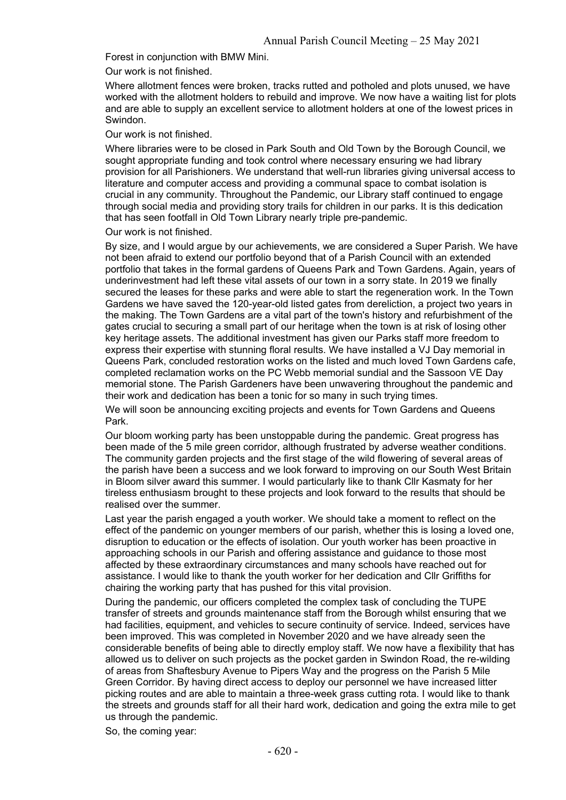Forest in conjunction with BMW Mini.

Our work is not finished.

Where allotment fences were broken, tracks rutted and potholed and plots unused, we have worked with the allotment holders to rebuild and improve. We now have a waiting list for plots and are able to supply an excellent service to allotment holders at one of the lowest prices in Swindon.

Our work is not finished.

Where libraries were to be closed in Park South and Old Town by the Borough Council, we sought appropriate funding and took control where necessary ensuring we had library provision for all Parishioners. We understand that well-run libraries giving universal access to literature and computer access and providing a communal space to combat isolation is crucial in any community. Throughout the Pandemic, our Library staff continued to engage through social media and providing story trails for children in our parks. It is this dedication that has seen footfall in Old Town Library nearly triple pre-pandemic.

Our work is not finished.

By size, and I would argue by our achievements, we are considered a Super Parish. We have not been afraid to extend our portfolio beyond that of a Parish Council with an extended portfolio that takes in the formal gardens of Queens Park and Town Gardens. Again, years of underinvestment had left these vital assets of our town in a sorry state. In 2019 we finally secured the leases for these parks and were able to start the regeneration work. In the Town Gardens we have saved the 120-year-old listed gates from dereliction, a project two years in the making. The Town Gardens are a vital part of the town's history and refurbishment of the gates crucial to securing a small part of our heritage when the town is at risk of losing other key heritage assets. The additional investment has given our Parks staff more freedom to express their expertise with stunning floral results. We have installed a VJ Day memorial in Queens Park, concluded restoration works on the listed and much loved Town Gardens cafe, completed reclamation works on the PC Webb memorial sundial and the Sassoon VE Day memorial stone. The Parish Gardeners have been unwavering throughout the pandemic and their work and dedication has been a tonic for so many in such trying times.

We will soon be announcing exciting projects and events for Town Gardens and Queens Park.

Our bloom working party has been unstoppable during the pandemic. Great progress has been made of the 5 mile green corridor, although frustrated by adverse weather conditions. The community garden projects and the first stage of the wild flowering of several areas of the parish have been a success and we look forward to improving on our South West Britain in Bloom silver award this summer. I would particularly like to thank Cllr Kasmaty for her tireless enthusiasm brought to these projects and look forward to the results that should be realised over the summer.

Last year the parish engaged a youth worker. We should take a moment to reflect on the effect of the pandemic on younger members of our parish, whether this is losing a loved one, disruption to education or the effects of isolation. Our youth worker has been proactive in approaching schools in our Parish and offering assistance and guidance to those most affected by these extraordinary circumstances and many schools have reached out for assistance. I would like to thank the youth worker for her dedication and Cllr Griffiths for chairing the working party that has pushed for this vital provision.

During the pandemic, our officers completed the complex task of concluding the TUPE transfer of streets and grounds maintenance staff from the Borough whilst ensuring that we had facilities, equipment, and vehicles to secure continuity of service. Indeed, services have been improved. This was completed in November 2020 and we have already seen the considerable benefits of being able to directly employ staff. We now have a flexibility that has allowed us to deliver on such projects as the pocket garden in Swindon Road, the re-wilding of areas from Shaftesbury Avenue to Pipers Way and the progress on the Parish 5 Mile Green Corridor. By having direct access to deploy our personnel we have increased litter picking routes and are able to maintain a three-week grass cutting rota. I would like to thank the streets and grounds staff for all their hard work, dedication and going the extra mile to get us through the pandemic.

So, the coming year: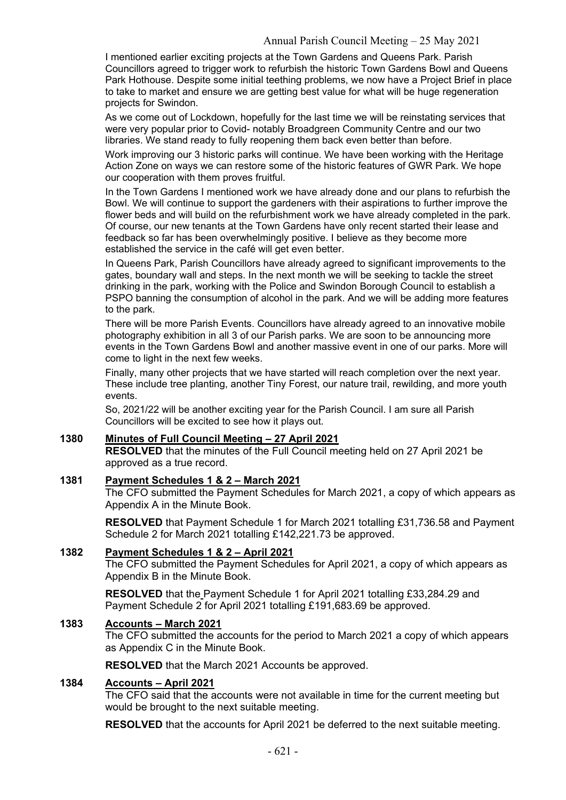I mentioned earlier exciting projects at the Town Gardens and Queens Park. Parish Councillors agreed to trigger work to refurbish the historic Town Gardens Bowl and Queens Park Hothouse. Despite some initial teething problems, we now have a Project Brief in place to take to market and ensure we are getting best value for what will be huge regeneration projects for Swindon.

As we come out of Lockdown, hopefully for the last time we will be reinstating services that were very popular prior to Covid- notably Broadgreen Community Centre and our two libraries. We stand ready to fully reopening them back even better than before.

Work improving our 3 historic parks will continue. We have been working with the Heritage Action Zone on ways we can restore some of the historic features of GWR Park. We hope our cooperation with them proves fruitful.

In the Town Gardens I mentioned work we have already done and our plans to refurbish the Bowl. We will continue to support the gardeners with their aspirations to further improve the flower beds and will build on the refurbishment work we have already completed in the park. Of course, our new tenants at the Town Gardens have only recent started their lease and feedback so far has been overwhelmingly positive. I believe as they become more established the service in the café will get even better.

In Queens Park, Parish Councillors have already agreed to significant improvements to the gates, boundary wall and steps. In the next month we will be seeking to tackle the street drinking in the park, working with the Police and Swindon Borough Council to establish a PSPO banning the consumption of alcohol in the park. And we will be adding more features to the park.

There will be more Parish Events. Councillors have already agreed to an innovative mobile photography exhibition in all 3 of our Parish parks. We are soon to be announcing more events in the Town Gardens Bowl and another massive event in one of our parks. More will come to light in the next few weeks.

Finally, many other projects that we have started will reach completion over the next year. These include tree planting, another Tiny Forest, our nature trail, rewilding, and more youth events.

So, 2021/22 will be another exciting year for the Parish Council. I am sure all Parish Councillors will be excited to see how it plays out.

## **1380 Minutes of Full Council Meeting – 27 April 2021**

**RESOLVED** that the minutes of the Full Council meeting held on 27 April 2021 be approved as a true record.

## **1381 Payment Schedules 1 & 2 – March 2021**

The CFO submitted the Payment Schedules for March 2021, a copy of which appears as Appendix A in the Minute Book.

**RESOLVED** that Payment Schedule 1 for March 2021 totalling £31,736.58 and Payment Schedule 2 for March 2021 totalling £142,221.73 be approved.

#### **1382 Payment Schedules 1 & 2 – April 2021**

The CFO submitted the Payment Schedules for April 2021, a copy of which appears as Appendix B in the Minute Book.

**RESOLVED** that the Payment Schedule 1 for April 2021 totalling £33,284.29 and Payment Schedule 2 for April 2021 totalling £191,683.69 be approved.

#### **1383 Accounts – March 2021**

The CFO submitted the accounts for the period to March 2021 a copy of which appears as Appendix C in the Minute Book.

**RESOLVED** that the March 2021 Accounts be approved.

## **1384 Accounts – April 2021**

The CFO said that the accounts were not available in time for the current meeting but would be brought to the next suitable meeting.

**RESOLVED** that the accounts for April 2021 be deferred to the next suitable meeting.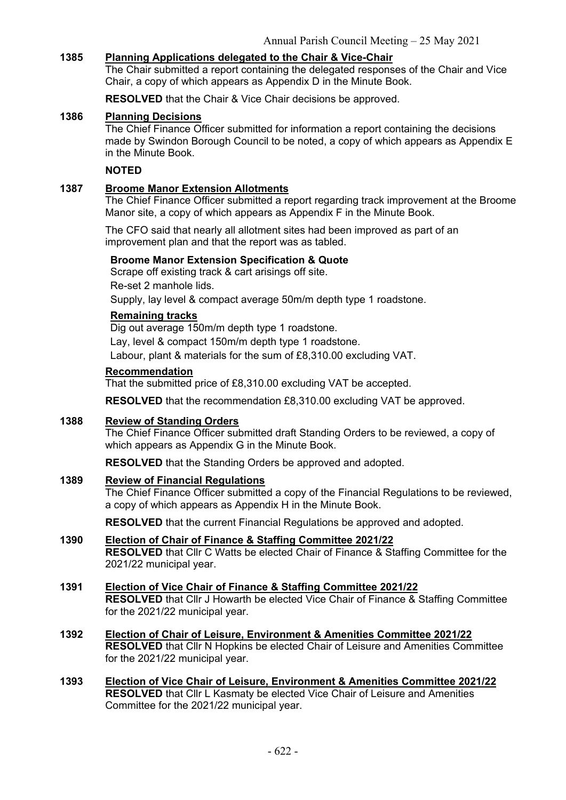## **1385 Planning Applications delegated to the Chair & Vice-Chair**

The Chair submitted a report containing the delegated responses of the Chair and Vice Chair, a copy of which appears as Appendix D in the Minute Book.

**RESOLVED** that the Chair & Vice Chair decisions be approved.

#### **1386 Planning Decisions**

The Chief Finance Officer submitted for information a report containing the decisions made by Swindon Borough Council to be noted, a copy of which appears as Appendix E in the Minute Book.

#### **NOTED**

## **1387 Broome Manor Extension Allotments**

The Chief Finance Officer submitted a report regarding track improvement at the Broome Manor site, a copy of which appears as Appendix F in the Minute Book.

The CFO said that nearly all allotment sites had been improved as part of an improvement plan and that the report was as tabled.

#### **Broome Manor Extension Specification & Quote**

Scrape off existing track & cart arisings off site. Re-set 2 manhole lids.

Supply, lay level & compact average 50m/m depth type 1 roadstone.

#### **Remaining tracks**

Dig out average 150m/m depth type 1 roadstone.

Lay, level & compact 150m/m depth type 1 roadstone.

Labour, plant & materials for the sum of £8,310.00 excluding VAT.

## **Recommendation**

That the submitted price of £8,310.00 excluding VAT be accepted.

**RESOLVED** that the recommendation £8,310.00 excluding VAT be approved.

## **1388 Review of Standing Orders**

The Chief Finance Officer submitted draft Standing Orders to be reviewed, a copy of which appears as Appendix G in the Minute Book.

**RESOLVED** that the Standing Orders be approved and adopted.

## **1389 Review of Financial Regulations**

The Chief Finance Officer submitted a copy of the Financial Regulations to be reviewed, a copy of which appears as Appendix H in the Minute Book.

**RESOLVED** that the current Financial Regulations be approved and adopted.

#### **1390 Election of Chair of Finance & Staffing Committee 2021/22 RESOLVED** that Cllr C Watts be elected Chair of Finance & Staffing Committee for the 2021/22 municipal year.

### **1391 Election of Vice Chair of Finance & Staffing Committee 2021/22 RESOLVED** that Cllr J Howarth be elected Vice Chair of Finance & Staffing Committee for the 2021/22 municipal year.

- **1392 Election of Chair of Leisure, Environment & Amenities Committee 2021/22 RESOLVED** that Cllr N Hopkins be elected Chair of Leisure and Amenities Committee for the 2021/22 municipal year.
- **1393 Election of Vice Chair of Leisure, Environment & Amenities Committee 2021/22 RESOLVED** that Cllr L Kasmaty be elected Vice Chair of Leisure and Amenities Committee for the 2021/22 municipal year.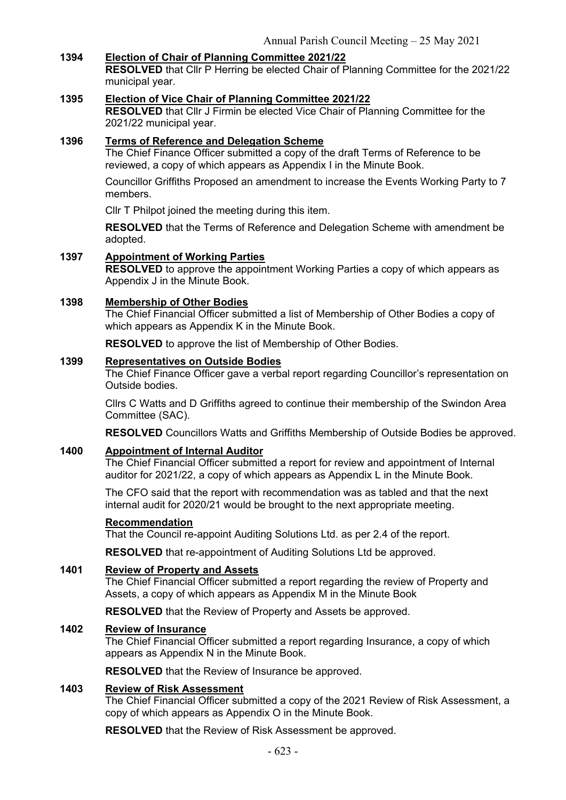## **1394 Election of Chair of Planning Committee 2021/22**

**RESOLVED** that Cllr P Herring be elected Chair of Planning Committee for the 2021/22 municipal year.

#### **1395 Election of Vice Chair of Planning Committee 2021/22**

**RESOLVED** that Cllr J Firmin be elected Vice Chair of Planning Committee for the 2021/22 municipal year.

## **1396 Terms of Reference and Delegation Scheme**

The Chief Finance Officer submitted a copy of the draft Terms of Reference to be reviewed, a copy of which appears as Appendix I in the Minute Book.

Councillor Griffiths Proposed an amendment to increase the Events Working Party to 7 members.

Cllr T Philpot joined the meeting during this item.

**RESOLVED** that the Terms of Reference and Delegation Scheme with amendment be adopted.

## **1397 Appointment of Working Parties**

**RESOLVED** to approve the appointment Working Parties a copy of which appears as Appendix J in the Minute Book.

#### **1398 Membership of Other Bodies**

The Chief Financial Officer submitted a list of Membership of Other Bodies a copy of which appears as Appendix K in the Minute Book.

**RESOLVED** to approve the list of Membership of Other Bodies.

## **1399 Representatives on Outside Bodies**

The Chief Finance Officer gave a verbal report regarding Councillor's representation on Outside bodies.

Cllrs C Watts and D Griffiths agreed to continue their membership of the Swindon Area Committee (SAC).

**RESOLVED** Councillors Watts and Griffiths Membership of Outside Bodies be approved.

#### **1400 Appointment of Internal Auditor**

The Chief Financial Officer submitted a report for review and appointment of Internal auditor for 2021/22, a copy of which appears as Appendix L in the Minute Book.

The CFO said that the report with recommendation was as tabled and that the next internal audit for 2020/21 would be brought to the next appropriate meeting.

#### **Recommendation**

That the Council re-appoint Auditing Solutions Ltd. as per 2.4 of the report.

**RESOLVED** that re-appointment of Auditing Solutions Ltd be approved.

## **1401 Review of Property and Assets**

The Chief Financial Officer submitted a report regarding the review of Property and Assets, a copy of which appears as Appendix M in the Minute Book

**RESOLVED** that the Review of Property and Assets be approved.

## **1402 Review of Insurance**

The Chief Financial Officer submitted a report regarding Insurance, a copy of which appears as Appendix N in the Minute Book.

**RESOLVED** that the Review of Insurance be approved.

#### **1403 Review of Risk Assessment**

The Chief Financial Officer submitted a copy of the 2021 Review of Risk Assessment, a copy of which appears as Appendix O in the Minute Book.

**RESOLVED** that the Review of Risk Assessment be approved.